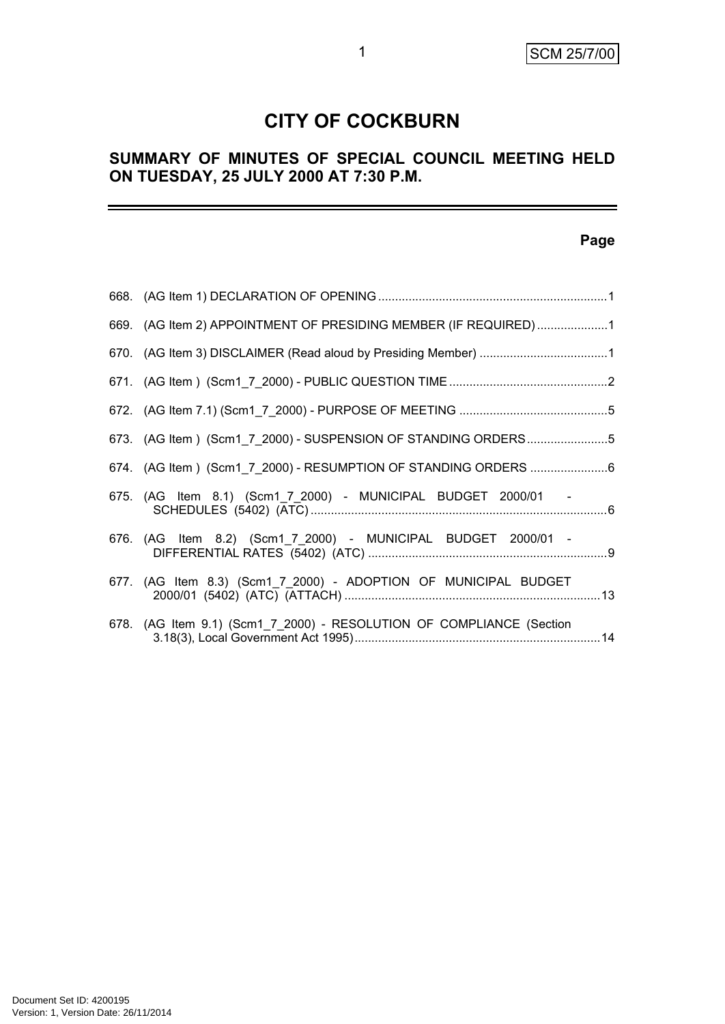# **CITY OF COCKBURN**

# **SUMMARY OF MINUTES OF SPECIAL COUNCIL MEETING HELD ON TUESDAY, 25 JULY 2000 AT 7:30 P.M.**

#### **Page**

 $\equiv$ 

| 669. (AG Item 2) APPOINTMENT OF PRESIDING MEMBER (IF REQUIRED)1      |  |
|----------------------------------------------------------------------|--|
|                                                                      |  |
|                                                                      |  |
|                                                                      |  |
| 673. (AG Item) (Scm1_7_2000) - SUSPENSION OF STANDING ORDERS5        |  |
| 674. (AG Item) (Scm1_7_2000) - RESUMPTION OF STANDING ORDERS 6       |  |
| 675. (AG Item 8.1) (Scm1_7_2000) - MUNICIPAL BUDGET 2000/01 -        |  |
| 676. (AG Item 8.2) (Scm1_7_2000) - MUNICIPAL BUDGET 2000/01 -        |  |
| 677. (AG Item 8.3) (Scm1_7_2000) - ADOPTION OF MUNICIPAL BUDGET      |  |
| 678. (AG Item 9.1) (Scm1_7_2000) - RESOLUTION OF COMPLIANCE (Section |  |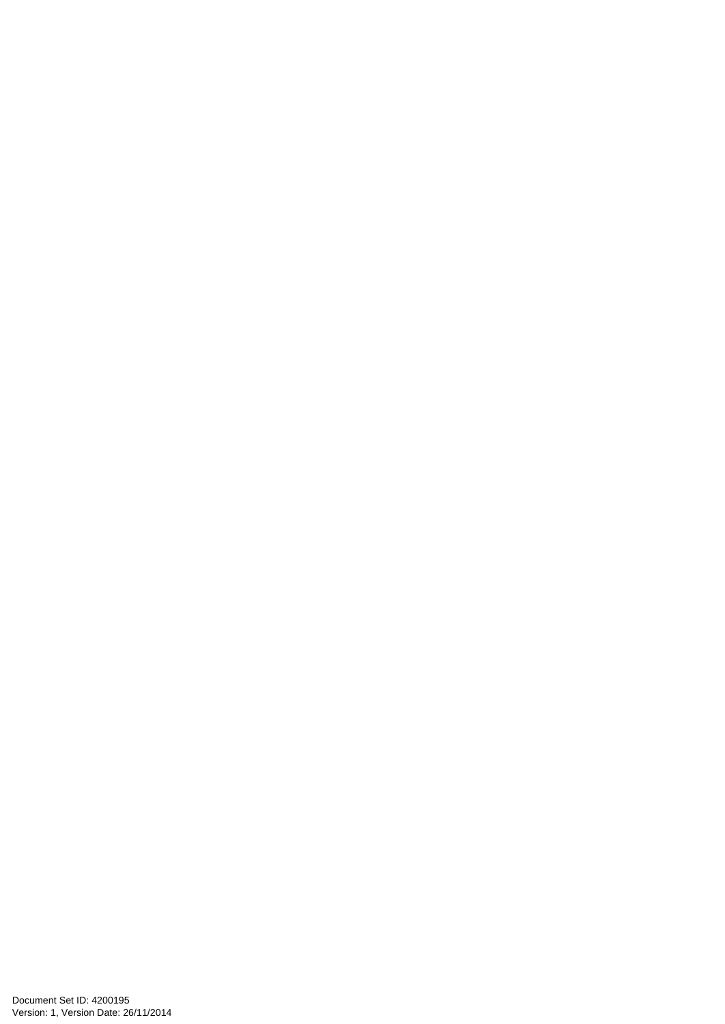Document Set ID: 4200195<br>Version: 1, Version Date: 26/11/2014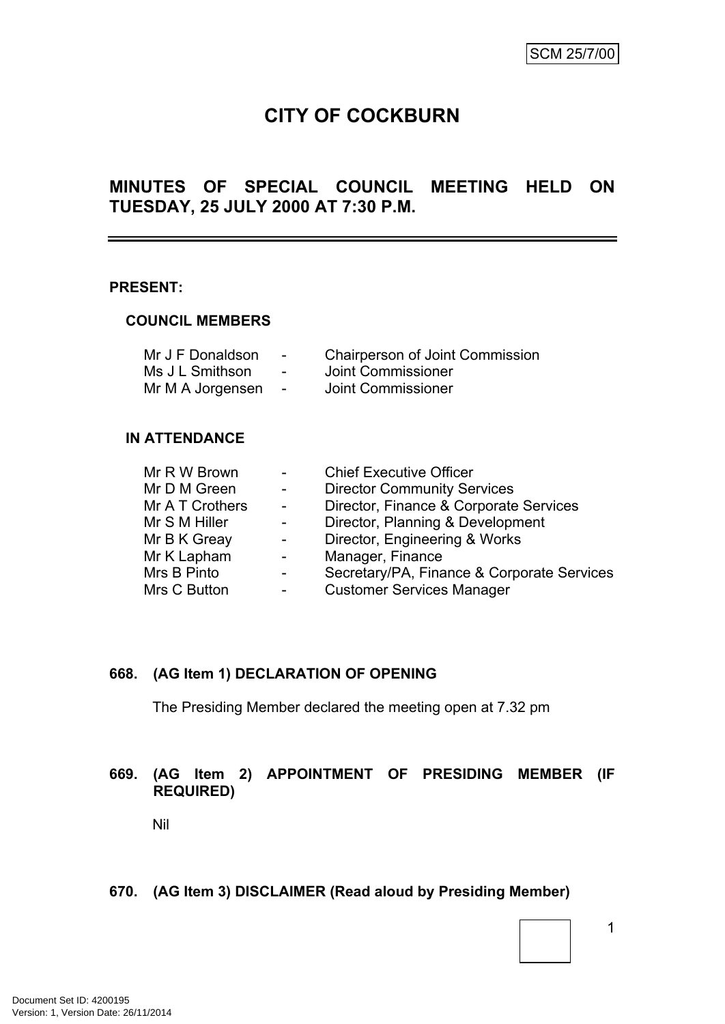# **CITY OF COCKBURN**

# **MINUTES OF SPECIAL COUNCIL MEETING HELD ON TUESDAY, 25 JULY 2000 AT 7:30 P.M.**

#### **PRESENT:**

#### **COUNCIL MEMBERS**

| Mr J F Donaldson | $\overline{\phantom{0}}$ | <b>Chairperson of Joint Commission</b> |
|------------------|--------------------------|----------------------------------------|
| Ms J L Smithson  | $\overline{\phantom{0}}$ | Joint Commissioner                     |
| Mr M A Jorgensen | $\overline{\phantom{0}}$ | Joint Commissioner                     |

#### **IN ATTENDANCE**

| Mr R W Brown    |                | <b>Chief Executive Officer</b>             |
|-----------------|----------------|--------------------------------------------|
| Mr D M Green    | $\blacksquare$ | <b>Director Community Services</b>         |
| Mr A T Crothers | $\sim$         | Director, Finance & Corporate Services     |
| Mr S M Hiller   | $\blacksquare$ | Director, Planning & Development           |
| Mr B K Greay    | ۰              | Director, Engineering & Works              |
| Mr K Lapham     | $\blacksquare$ | Manager, Finance                           |
| Mrs B Pinto     | $\sim$         | Secretary/PA, Finance & Corporate Services |
| Mrs C Button    | -              | <b>Customer Services Manager</b>           |

#### <span id="page-2-0"></span>**668. (AG Item 1) DECLARATION OF OPENING**

The Presiding Member declared the meeting open at 7.32 pm

#### <span id="page-2-1"></span>**669. (AG Item 2) APPOINTMENT OF PRESIDING MEMBER (IF REQUIRED)**

Nil

#### <span id="page-2-2"></span>**670. (AG Item 3) DISCLAIMER (Read aloud by Presiding Member)**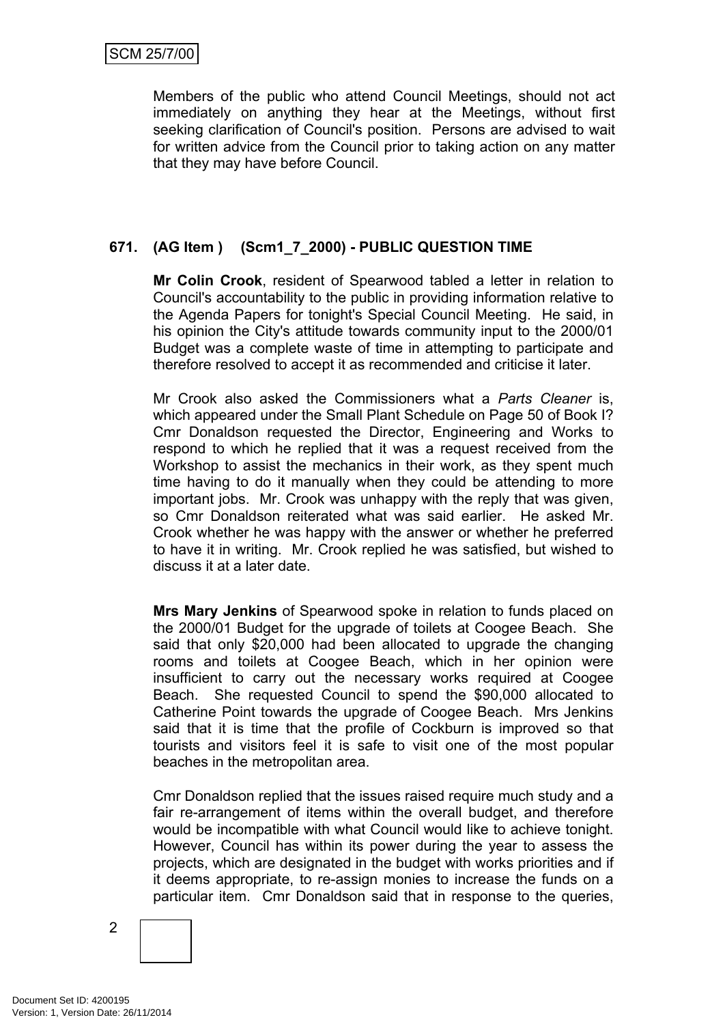Members of the public who attend Council Meetings, should not act immediately on anything they hear at the Meetings, without first seeking clarification of Council's position. Persons are advised to wait for written advice from the Council prior to taking action on any matter that they may have before Council.

## <span id="page-3-0"></span>**671. (AG Item ) (Scm1\_7\_2000) - PUBLIC QUESTION TIME**

**Mr Colin Crook**, resident of Spearwood tabled a letter in relation to Council's accountability to the public in providing information relative to the Agenda Papers for tonight's Special Council Meeting. He said, in his opinion the City's attitude towards community input to the 2000/01 Budget was a complete waste of time in attempting to participate and therefore resolved to accept it as recommended and criticise it later.

Mr Crook also asked the Commissioners what a *Parts Cleaner* is, which appeared under the Small Plant Schedule on Page 50 of Book I? Cmr Donaldson requested the Director, Engineering and Works to respond to which he replied that it was a request received from the Workshop to assist the mechanics in their work, as they spent much time having to do it manually when they could be attending to more important jobs. Mr. Crook was unhappy with the reply that was given, so Cmr Donaldson reiterated what was said earlier. He asked Mr. Crook whether he was happy with the answer or whether he preferred to have it in writing. Mr. Crook replied he was satisfied, but wished to discuss it at a later date.

**Mrs Mary Jenkins** of Spearwood spoke in relation to funds placed on the 2000/01 Budget for the upgrade of toilets at Coogee Beach. She said that only \$20,000 had been allocated to upgrade the changing rooms and toilets at Coogee Beach, which in her opinion were insufficient to carry out the necessary works required at Coogee Beach. She requested Council to spend the \$90,000 allocated to Catherine Point towards the upgrade of Coogee Beach. Mrs Jenkins said that it is time that the profile of Cockburn is improved so that tourists and visitors feel it is safe to visit one of the most popular beaches in the metropolitan area.

Cmr Donaldson replied that the issues raised require much study and a fair re-arrangement of items within the overall budget, and therefore would be incompatible with what Council would like to achieve tonight. However, Council has within its power during the year to assess the projects, which are designated in the budget with works priorities and if it deems appropriate, to re-assign monies to increase the funds on a particular item. Cmr Donaldson said that in response to the queries,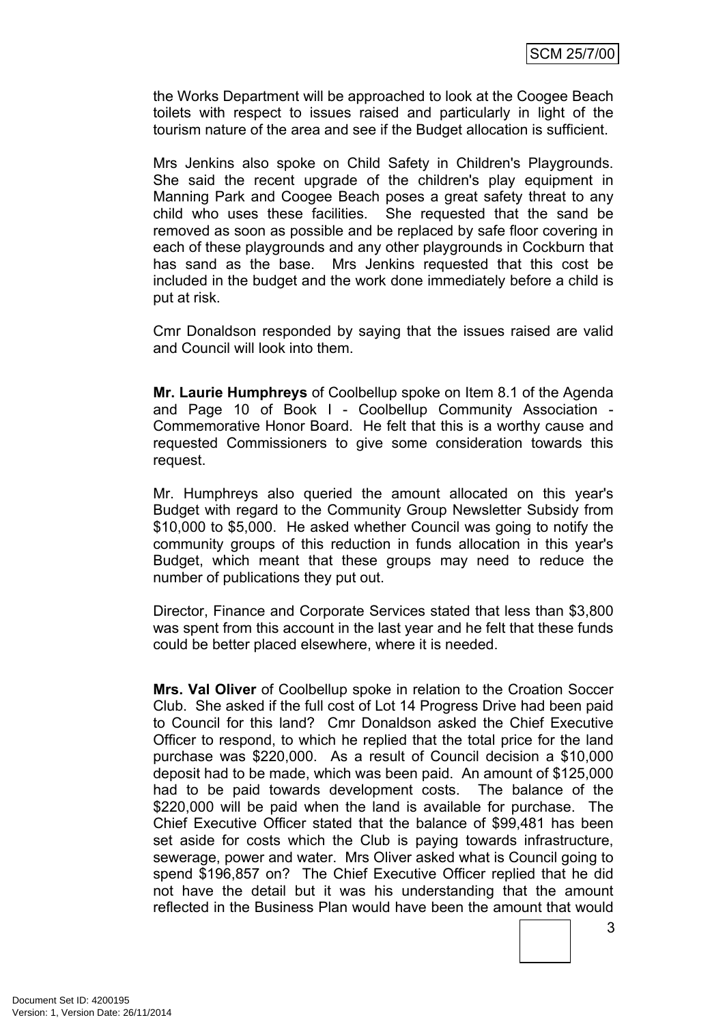the Works Department will be approached to look at the Coogee Beach toilets with respect to issues raised and particularly in light of the tourism nature of the area and see if the Budget allocation is sufficient.

Mrs Jenkins also spoke on Child Safety in Children's Playgrounds. She said the recent upgrade of the children's play equipment in Manning Park and Coogee Beach poses a great safety threat to any child who uses these facilities. She requested that the sand be removed as soon as possible and be replaced by safe floor covering in each of these playgrounds and any other playgrounds in Cockburn that has sand as the base. Mrs Jenkins requested that this cost be included in the budget and the work done immediately before a child is put at risk.

Cmr Donaldson responded by saying that the issues raised are valid and Council will look into them.

**Mr. Laurie Humphreys** of Coolbellup spoke on Item 8.1 of the Agenda and Page 10 of Book I - Coolbellup Community Association - Commemorative Honor Board. He felt that this is a worthy cause and requested Commissioners to give some consideration towards this request.

Mr. Humphreys also queried the amount allocated on this year's Budget with regard to the Community Group Newsletter Subsidy from \$10,000 to \$5,000. He asked whether Council was going to notify the community groups of this reduction in funds allocation in this year's Budget, which meant that these groups may need to reduce the number of publications they put out.

Director, Finance and Corporate Services stated that less than \$3,800 was spent from this account in the last year and he felt that these funds could be better placed elsewhere, where it is needed.

**Mrs. Val Oliver** of Coolbellup spoke in relation to the Croation Soccer Club. She asked if the full cost of Lot 14 Progress Drive had been paid to Council for this land? Cmr Donaldson asked the Chief Executive Officer to respond, to which he replied that the total price for the land purchase was \$220,000. As a result of Council decision a \$10,000 deposit had to be made, which was been paid. An amount of \$125,000 had to be paid towards development costs. The balance of the \$220,000 will be paid when the land is available for purchase. The Chief Executive Officer stated that the balance of \$99,481 has been set aside for costs which the Club is paying towards infrastructure, sewerage, power and water. Mrs Oliver asked what is Council going to spend \$196,857 on? The Chief Executive Officer replied that he did not have the detail but it was his understanding that the amount reflected in the Business Plan would have been the amount that would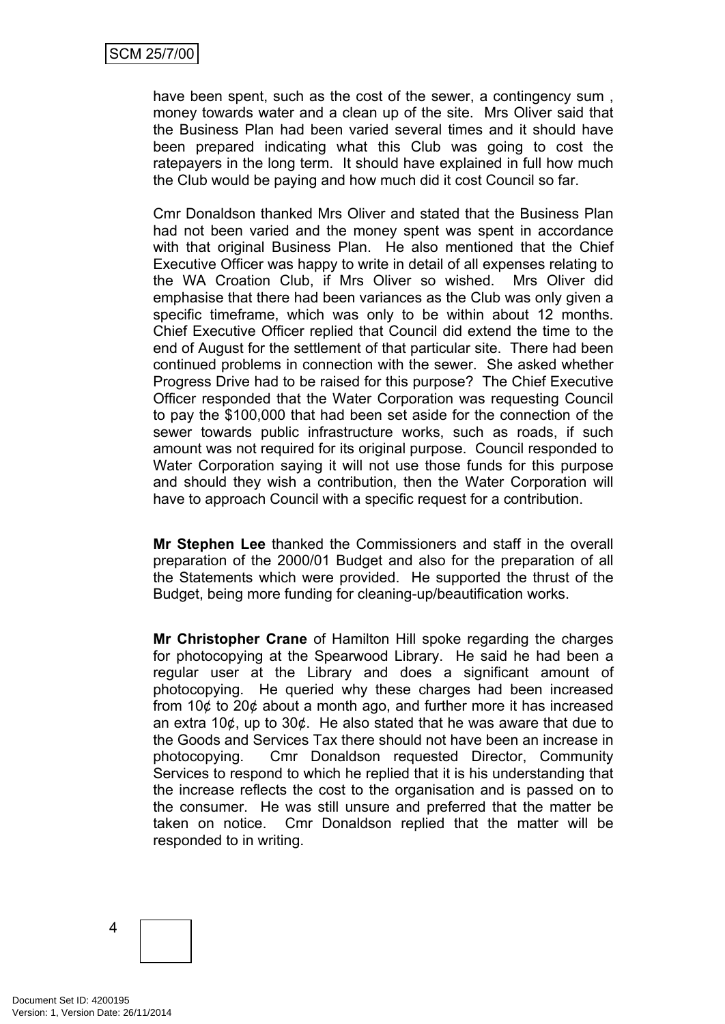have been spent, such as the cost of the sewer, a contingency sum , money towards water and a clean up of the site. Mrs Oliver said that the Business Plan had been varied several times and it should have been prepared indicating what this Club was going to cost the ratepayers in the long term. It should have explained in full how much the Club would be paying and how much did it cost Council so far.

Cmr Donaldson thanked Mrs Oliver and stated that the Business Plan had not been varied and the money spent was spent in accordance with that original Business Plan. He also mentioned that the Chief Executive Officer was happy to write in detail of all expenses relating to the WA Croation Club, if Mrs Oliver so wished. Mrs Oliver did emphasise that there had been variances as the Club was only given a specific timeframe, which was only to be within about 12 months. Chief Executive Officer replied that Council did extend the time to the end of August for the settlement of that particular site. There had been continued problems in connection with the sewer. She asked whether Progress Drive had to be raised for this purpose? The Chief Executive Officer responded that the Water Corporation was requesting Council to pay the \$100,000 that had been set aside for the connection of the sewer towards public infrastructure works, such as roads, if such amount was not required for its original purpose. Council responded to Water Corporation saying it will not use those funds for this purpose and should they wish a contribution, then the Water Corporation will have to approach Council with a specific request for a contribution.

**Mr Stephen Lee** thanked the Commissioners and staff in the overall preparation of the 2000/01 Budget and also for the preparation of all the Statements which were provided. He supported the thrust of the Budget, being more funding for cleaning-up/beautification works.

**Mr Christopher Crane** of Hamilton Hill spoke regarding the charges for photocopying at the Spearwood Library. He said he had been a regular user at the Library and does a significant amount of photocopying. He queried why these charges had been increased from 10¢ to 20¢ about a month ago, and further more it has increased an extra 10¢, up to 30¢. He also stated that he was aware that due to the Goods and Services Tax there should not have been an increase in photocopying. Cmr Donaldson requested Director, Community Services to respond to which he replied that it is his understanding that the increase reflects the cost to the organisation and is passed on to the consumer. He was still unsure and preferred that the matter be taken on notice. Cmr Donaldson replied that the matter will be responded to in writing.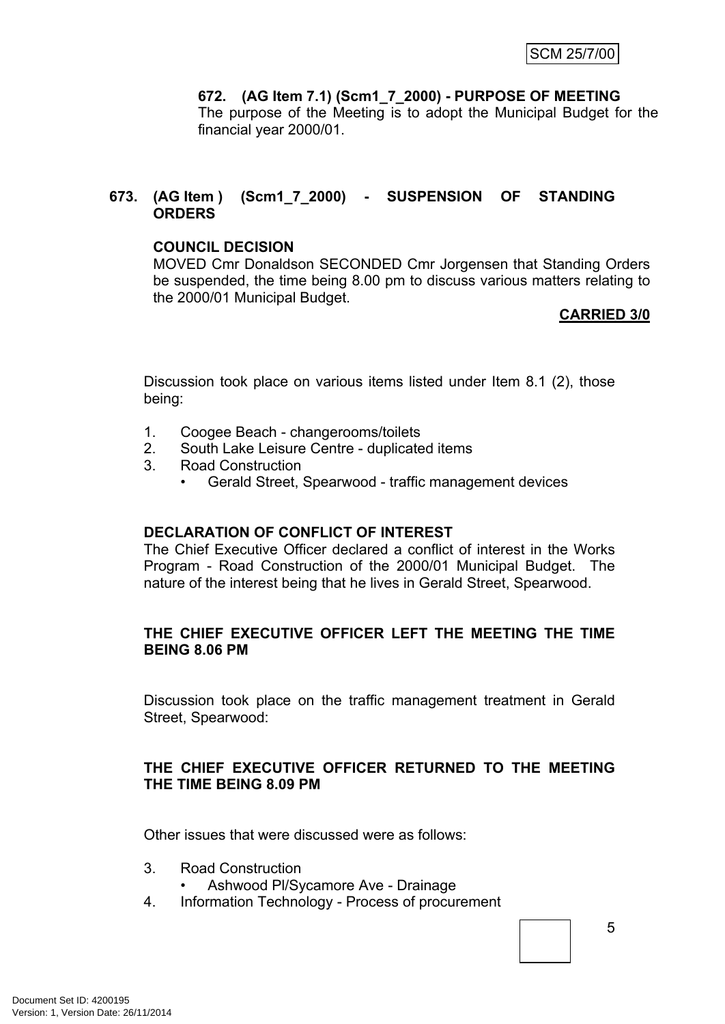## <span id="page-6-0"></span>**672. (AG Item 7.1) (Scm1\_7\_2000) - PURPOSE OF MEETING**

The purpose of the Meeting is to adopt the Municipal Budget for the financial year 2000/01.

#### <span id="page-6-1"></span>**673. (AG Item ) (Scm1\_7\_2000) - SUSPENSION OF STANDING ORDERS**

#### **COUNCIL DECISION**

MOVED Cmr Donaldson SECONDED Cmr Jorgensen that Standing Orders be suspended, the time being 8.00 pm to discuss various matters relating to the 2000/01 Municipal Budget.

#### **CARRIED 3/0**

Discussion took place on various items listed under Item 8.1 (2), those being:

- 1. Coogee Beach changerooms/toilets
- 2. South Lake Leisure Centre duplicated items
- 3. Road Construction
	- Gerald Street, Spearwood traffic management devices

#### **DECLARATION OF CONFLICT OF INTEREST**

The Chief Executive Officer declared a conflict of interest in the Works Program - Road Construction of the 2000/01 Municipal Budget. The nature of the interest being that he lives in Gerald Street, Spearwood.

#### **THE CHIEF EXECUTIVE OFFICER LEFT THE MEETING THE TIME BEING 8.06 PM**

Discussion took place on the traffic management treatment in Gerald Street, Spearwood:

#### **THE CHIEF EXECUTIVE OFFICER RETURNED TO THE MEETING THE TIME BEING 8.09 PM**

Other issues that were discussed were as follows:

- 3. Road Construction
	- Ashwood Pl/Sycamore Ave Drainage
- 4. Information Technology Process of procurement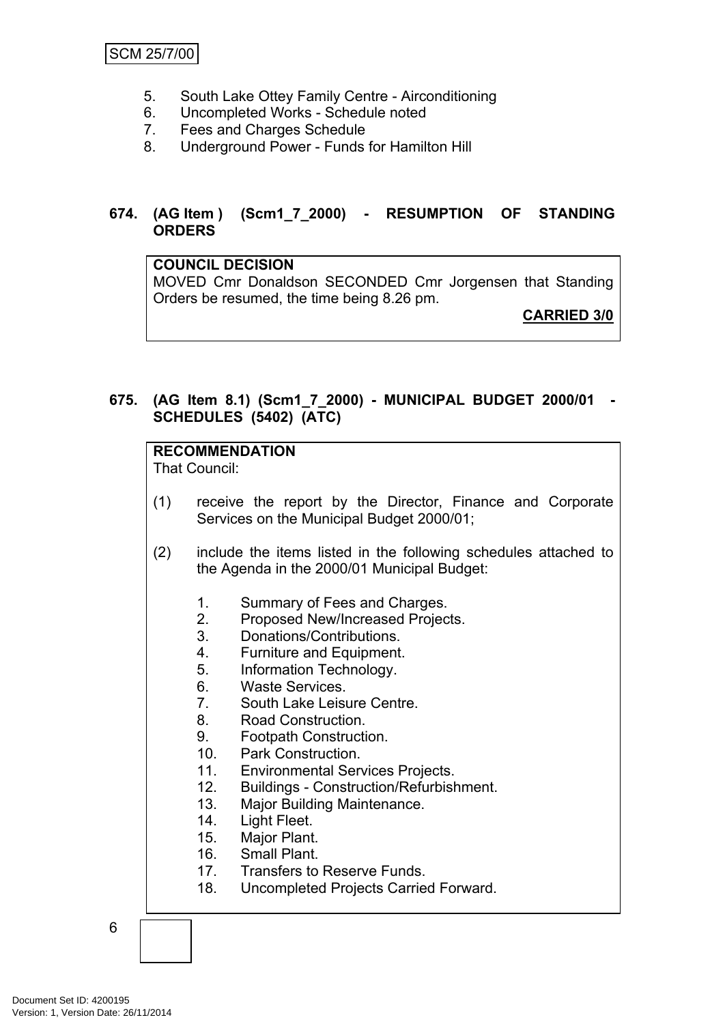- 5. South Lake Ottey Family Centre Airconditioning
- 6. Uncompleted Works Schedule noted
- 7. Fees and Charges Schedule
- 8. Underground Power Funds for Hamilton Hill

#### <span id="page-7-0"></span>**674. (AG Item ) (Scm1\_7\_2000) - RESUMPTION OF STANDING ORDERS**

## **COUNCIL DECISION**

MOVED Cmr Donaldson SECONDED Cmr Jorgensen that Standing Orders be resumed, the time being 8.26 pm.

**CARRIED 3/0**

## <span id="page-7-1"></span>**675. (AG Item 8.1) (Scm1\_7\_2000) - MUNICIPAL BUDGET 2000/01 - SCHEDULES (5402) (ATC)**

# **RECOMMENDATION**

That Council:

- (1) receive the report by the Director, Finance and Corporate Services on the Municipal Budget 2000/01;
- (2) include the items listed in the following schedules attached to the Agenda in the 2000/01 Municipal Budget:
	- 1. Summary of Fees and Charges.
	- 2. Proposed New/Increased Projects.
	- 3. Donations/Contributions.
	- 4. Furniture and Equipment.
	- 5. Information Technology.
	- 6. Waste Services.
	- 7. South Lake Leisure Centre.
	- 8. Road Construction.
	- 9. Footpath Construction.
	- 10. Park Construction.
	- 11. Environmental Services Projects.
	- 12. Buildings Construction/Refurbishment.
	- 13. Major Building Maintenance.
	- 14. Light Fleet.
	- 15. Major Plant.
	- 16. Small Plant.
	- 17. Transfers to Reserve Funds.
	- 18. Uncompleted Projects Carried Forward.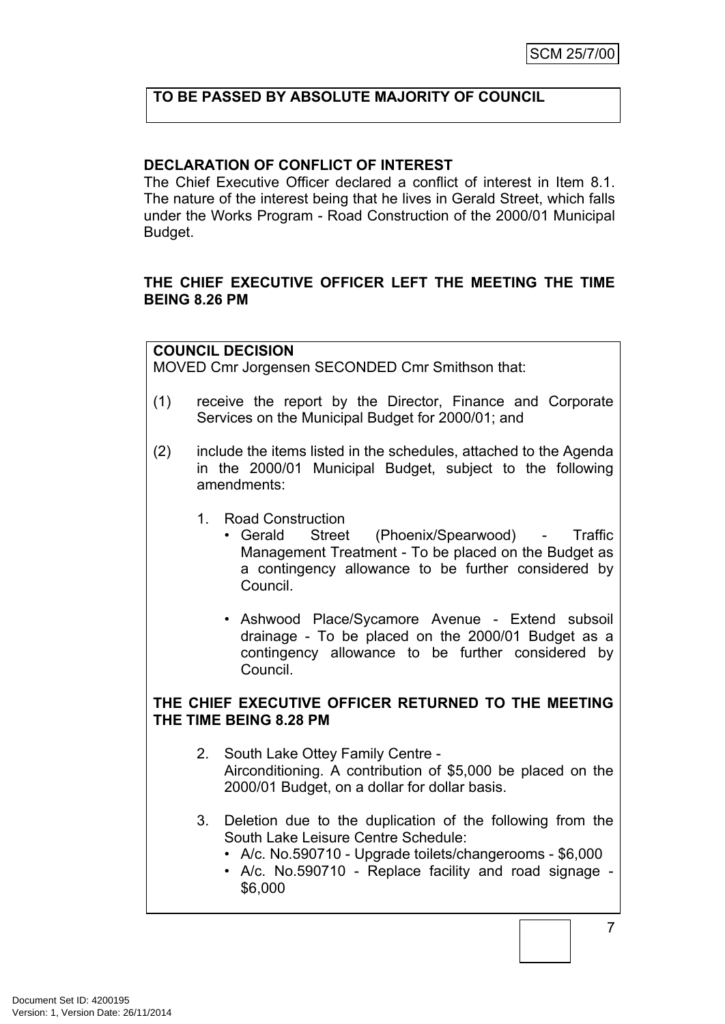## **TO BE PASSED BY ABSOLUTE MAJORITY OF COUNCIL**

## **DECLARATION OF CONFLICT OF INTEREST**

The Chief Executive Officer declared a conflict of interest in Item 8.1. The nature of the interest being that he lives in Gerald Street, which falls under the Works Program - Road Construction of the 2000/01 Municipal Budget.

#### **THE CHIEF EXECUTIVE OFFICER LEFT THE MEETING THE TIME BEING 8.26 PM**

### **COUNCIL DECISION**

MOVED Cmr Jorgensen SECONDED Cmr Smithson that:

- (1) receive the report by the Director, Finance and Corporate Services on the Municipal Budget for 2000/01; and
- (2) include the items listed in the schedules, attached to the Agenda in the 2000/01 Municipal Budget, subject to the following amendments:
	- 1. Road Construction
		- Gerald Street (Phoenix/Spearwood) Traffic Management Treatment - To be placed on the Budget as a contingency allowance to be further considered by Council.
		- Ashwood Place/Sycamore Avenue Extend subsoil drainage - To be placed on the 2000/01 Budget as a contingency allowance to be further considered by Council.

### **THE CHIEF EXECUTIVE OFFICER RETURNED TO THE MEETING THE TIME BEING 8.28 PM**

- 2. South Lake Ottey Family Centre Airconditioning. A contribution of \$5,000 be placed on the 2000/01 Budget, on a dollar for dollar basis.
- 3. Deletion due to the duplication of the following from the South Lake Leisure Centre Schedule:
	- A/c. No.590710 Upgrade toilets/changerooms \$6,000
	- A/c. No.590710 Replace facility and road signage \$6,000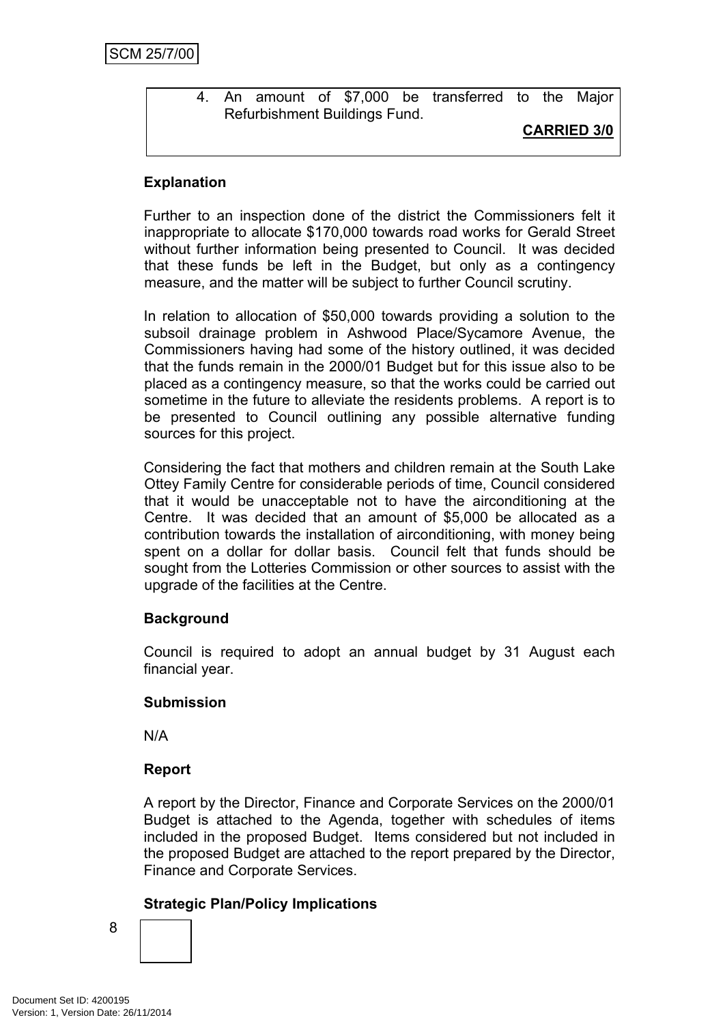4. An amount of \$7,000 be transferred to the Major Refurbishment Buildings Fund.

**CARRIED 3/0**

### **Explanation**

Further to an inspection done of the district the Commissioners felt it inappropriate to allocate \$170,000 towards road works for Gerald Street without further information being presented to Council. It was decided that these funds be left in the Budget, but only as a contingency measure, and the matter will be subject to further Council scrutiny.

In relation to allocation of \$50,000 towards providing a solution to the subsoil drainage problem in Ashwood Place/Sycamore Avenue, the Commissioners having had some of the history outlined, it was decided that the funds remain in the 2000/01 Budget but for this issue also to be placed as a contingency measure, so that the works could be carried out sometime in the future to alleviate the residents problems. A report is to be presented to Council outlining any possible alternative funding sources for this project.

Considering the fact that mothers and children remain at the South Lake Ottey Family Centre for considerable periods of time, Council considered that it would be unacceptable not to have the airconditioning at the Centre. It was decided that an amount of \$5,000 be allocated as a contribution towards the installation of airconditioning, with money being spent on a dollar for dollar basis. Council felt that funds should be sought from the Lotteries Commission or other sources to assist with the upgrade of the facilities at the Centre.

#### **Background**

Council is required to adopt an annual budget by 31 August each financial year.

#### **Submission**

N/A

#### **Report**

A report by the Director, Finance and Corporate Services on the 2000/01 Budget is attached to the Agenda, together with schedules of items included in the proposed Budget. Items considered but not included in the proposed Budget are attached to the report prepared by the Director, Finance and Corporate Services.

## **Strategic Plan/Policy Implications**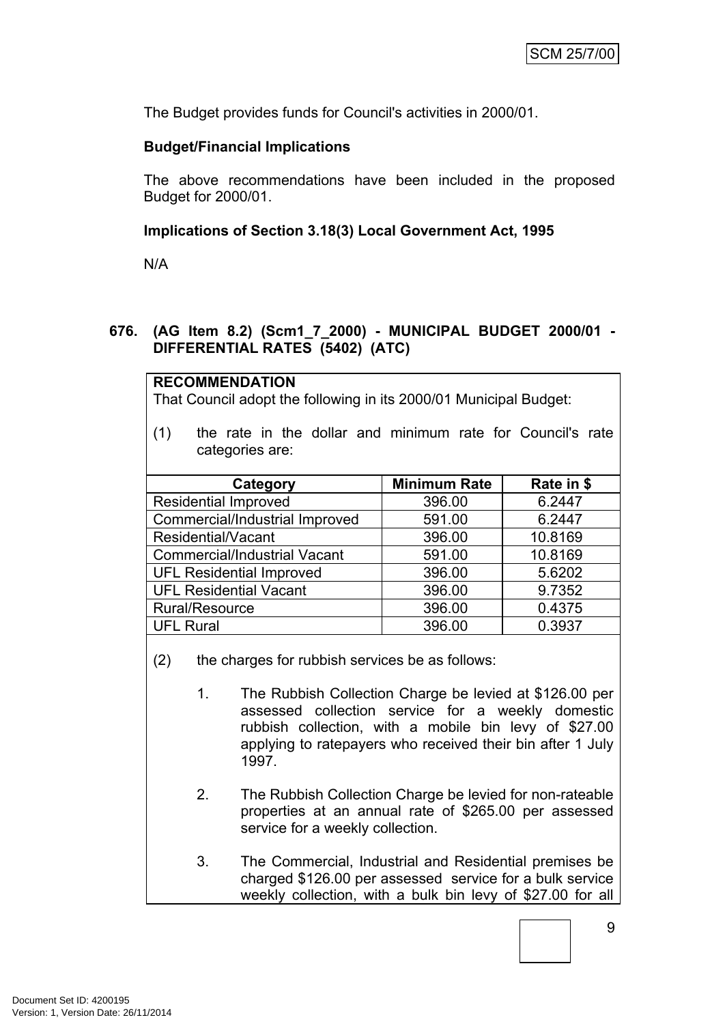The Budget provides funds for Council's activities in 2000/01.

## **Budget/Financial Implications**

The above recommendations have been included in the proposed Budget for 2000/01.

### **Implications of Section 3.18(3) Local Government Act, 1995**

N/A

### <span id="page-10-0"></span>**676. (AG Item 8.2) (Scm1\_7\_2000) - MUNICIPAL BUDGET 2000/01 - DIFFERENTIAL RATES (5402) (ATC)**

| <b>RECOMMENDATION</b><br>That Council adopt the following in its 2000/01 Municipal Budget: |                     |            |  |  |  |  |  |  |
|--------------------------------------------------------------------------------------------|---------------------|------------|--|--|--|--|--|--|
| the rate in the dollar and minimum rate for Council's rate<br>(1)<br>categories are:       |                     |            |  |  |  |  |  |  |
| Category                                                                                   | <b>Minimum Rate</b> | Rate in \$ |  |  |  |  |  |  |
| <b>Residential Improved</b>                                                                | 396.00              | 6.2447     |  |  |  |  |  |  |
| Commercial/Industrial Improved                                                             | 591.00              | 6.2447     |  |  |  |  |  |  |
| Residential/Vacant                                                                         | 396.00              | 10.8169    |  |  |  |  |  |  |
| <b>Commercial/Industrial Vacant</b>                                                        | 591.00              | 10.8169    |  |  |  |  |  |  |
| <b>UFL Residential Improved</b>                                                            | 396.00              | 5.6202     |  |  |  |  |  |  |
| <b>UFL Residential Vacant</b>                                                              | 396.00              | 9.7352     |  |  |  |  |  |  |

Rural/Resource 1 396.00 0.4375 UFL Rural 1996.00 0.3937

(2) the charges for rubbish services be as follows:

- 1. The Rubbish Collection Charge be levied at \$126.00 per assessed collection service for a weekly domestic rubbish collection, with a mobile bin levy of \$27.00 applying to ratepayers who received their bin after 1 July 1997.
- 2. The Rubbish Collection Charge be levied for non-rateable properties at an annual rate of \$265.00 per assessed service for a weekly collection.
- 3. The Commercial, Industrial and Residential premises be charged \$126.00 per assessed service for a bulk service weekly collection, with a bulk bin levy of \$27.00 for all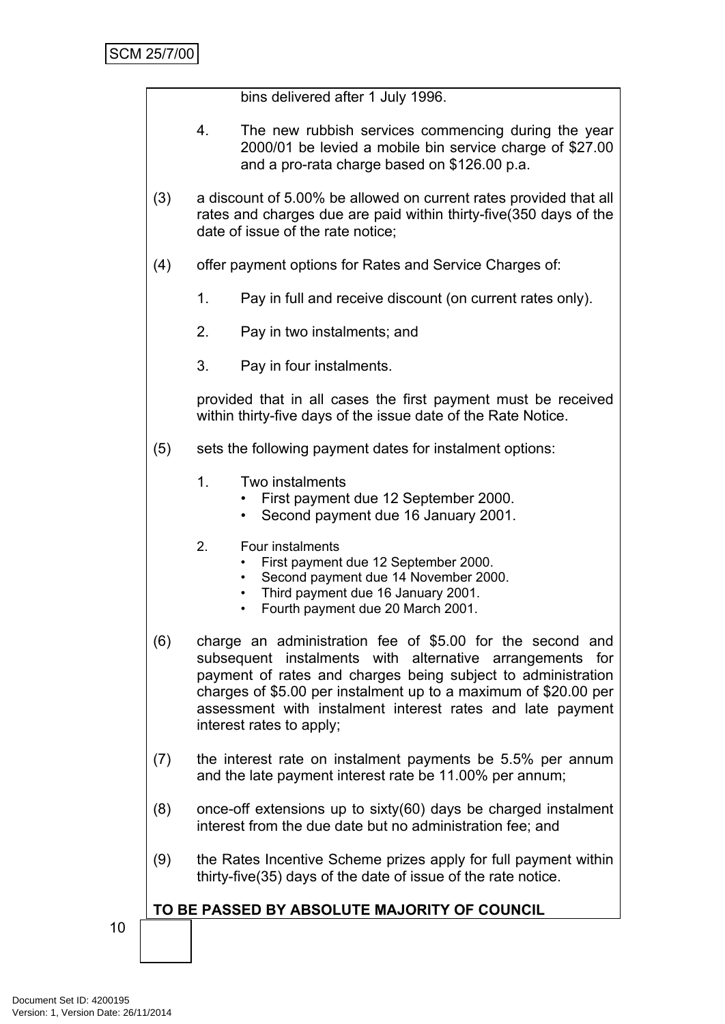bins delivered after 1 July 1996.

- 4. The new rubbish services commencing during the year 2000/01 be levied a mobile bin service charge of \$27.00 and a pro-rata charge based on \$126.00 p.a.
- (3) a discount of 5.00% be allowed on current rates provided that all rates and charges due are paid within thirty-five(350 days of the date of issue of the rate notice;
- (4) offer payment options for Rates and Service Charges of:
	- 1. Pay in full and receive discount (on current rates only).
	- 2. Pay in two instalments; and
	- 3. Pay in four instalments.

provided that in all cases the first payment must be received within thirty-five days of the issue date of the Rate Notice.

- (5) sets the following payment dates for instalment options:
	- 1. Two instalments
		- First payment due 12 September 2000.
		- Second payment due 16 January 2001.
	- 2. Four instalments
		- First payment due 12 September 2000.
		- Second payment due 14 November 2000.
		- Third payment due 16 January 2001.
		- Fourth payment due 20 March 2001.
- (6) charge an administration fee of \$5.00 for the second and subsequent instalments with alternative arrangements for payment of rates and charges being subject to administration charges of \$5.00 per instalment up to a maximum of \$20.00 per assessment with instalment interest rates and late payment interest rates to apply;
- (7) the interest rate on instalment payments be 5.5% per annum and the late payment interest rate be 11.00% per annum;
- (8) once-off extensions up to sixty(60) days be charged instalment interest from the due date but no administration fee; and
- (9) the Rates Incentive Scheme prizes apply for full payment within thirty-five(35) days of the date of issue of the rate notice.

## **TO BE PASSED BY ABSOLUTE MAJORITY OF COUNCIL**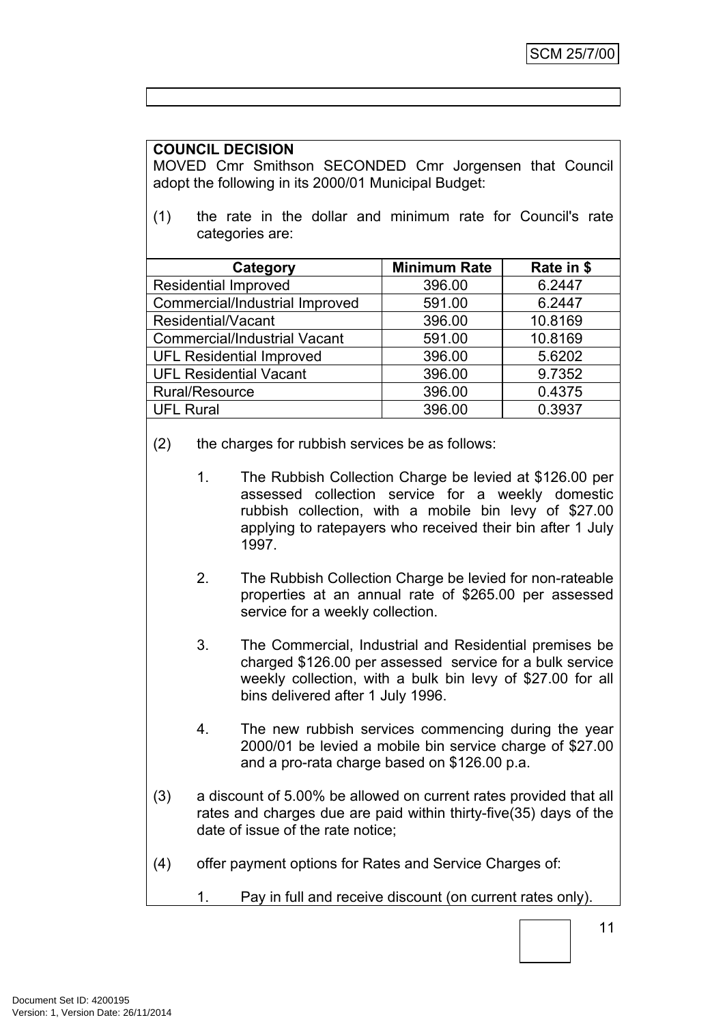## **COUNCIL DECISION**

MOVED Cmr Smithson SECONDED Cmr Jorgensen that Council adopt the following in its 2000/01 Municipal Budget:

(1) the rate in the dollar and minimum rate for Council's rate categories are:

| Category                            | <b>Minimum Rate</b> | Rate in \$ |
|-------------------------------------|---------------------|------------|
| <b>Residential Improved</b>         | 396.00              | 6.2447     |
| Commercial/Industrial Improved      | 591.00              | 6.2447     |
| Residential/Vacant                  | 396.00              | 10.8169    |
| <b>Commercial/Industrial Vacant</b> | 591.00              | 10.8169    |
| <b>UFL Residential Improved</b>     | 396.00              | 5.6202     |
| <b>UFL Residential Vacant</b>       | 396.00              | 9.7352     |
| Rural/Resource                      | 396.00              | 0.4375     |
| <b>UFL Rural</b>                    | 396.00              | 0.3937     |

- (2) the charges for rubbish services be as follows:
	- 1. The Rubbish Collection Charge be levied at \$126.00 per assessed collection service for a weekly domestic rubbish collection, with a mobile bin levy of \$27.00 applying to ratepayers who received their bin after 1 July 1997.
	- 2. The Rubbish Collection Charge be levied for non-rateable properties at an annual rate of \$265.00 per assessed service for a weekly collection.
	- 3. The Commercial, Industrial and Residential premises be charged \$126.00 per assessed service for a bulk service weekly collection, with a bulk bin levy of \$27.00 for all bins delivered after 1 July 1996.
	- 4. The new rubbish services commencing during the year 2000/01 be levied a mobile bin service charge of \$27.00 and a pro-rata charge based on \$126.00 p.a.
- (3) a discount of 5.00% be allowed on current rates provided that all rates and charges due are paid within thirty-five(35) days of the date of issue of the rate notice;
- (4) offer payment options for Rates and Service Charges of:
	- 1. Pay in full and receive discount (on current rates only).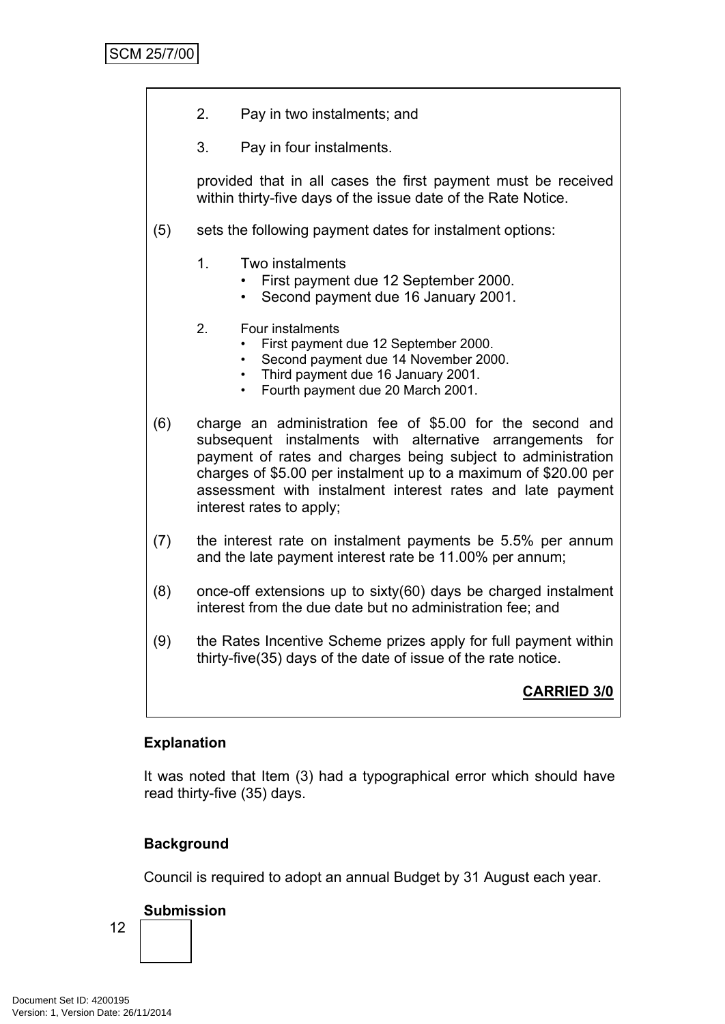- 2. Pay in two instalments; and
- 3. Pay in four instalments.

provided that in all cases the first payment must be received within thirty-five days of the issue date of the Rate Notice.

- (5) sets the following payment dates for instalment options:
	- 1. Two instalments
		- First payment due 12 September 2000.
		- Second payment due 16 January 2001.
	- 2. Four instalments
		- First payment due 12 September 2000.
		- Second payment due 14 November 2000.
		- Third payment due 16 January 2001.
		- Fourth payment due 20 March 2001.
- (6) charge an administration fee of \$5.00 for the second and subsequent instalments with alternative arrangements for payment of rates and charges being subject to administration charges of \$5.00 per instalment up to a maximum of \$20.00 per assessment with instalment interest rates and late payment interest rates to apply;
- (7) the interest rate on instalment payments be 5.5% per annum and the late payment interest rate be 11.00% per annum;
- (8) once-off extensions up to sixty(60) days be charged instalment interest from the due date but no administration fee; and
- (9) the Rates Incentive Scheme prizes apply for full payment within thirty-five(35) days of the date of issue of the rate notice.

# **CARRIED 3/0**

## **Explanation**

It was noted that Item (3) had a typographical error which should have read thirty-five (35) days.

## **Background**

Council is required to adopt an annual Budget by 31 August each year.

#### **Submission**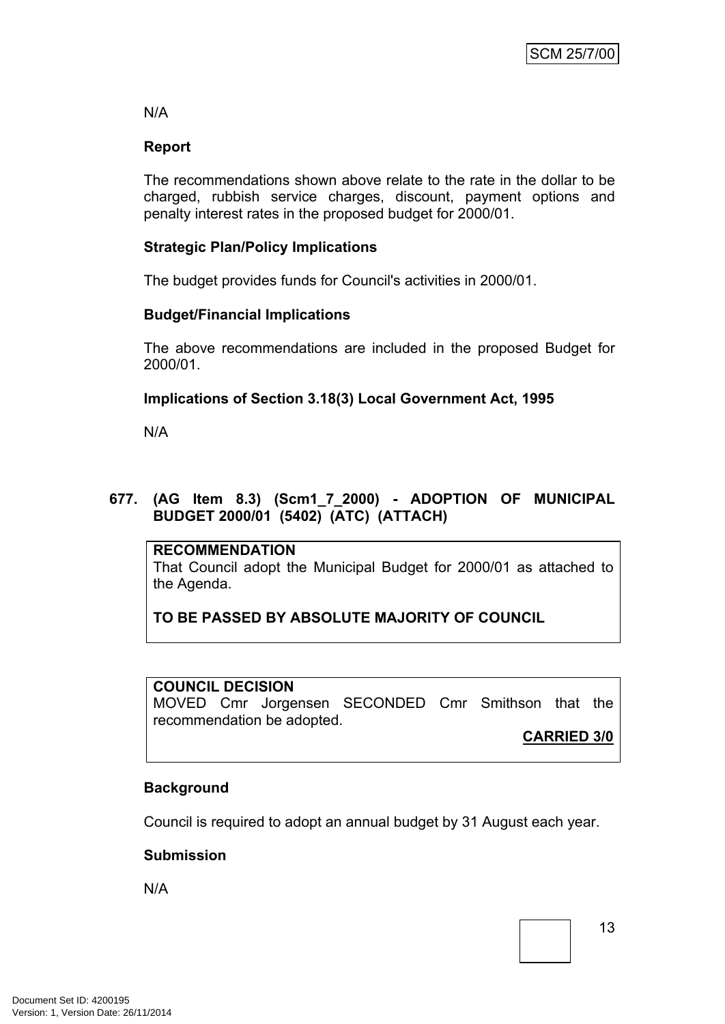N/A

## **Report**

The recommendations shown above relate to the rate in the dollar to be charged, rubbish service charges, discount, payment options and penalty interest rates in the proposed budget for 2000/01.

## **Strategic Plan/Policy Implications**

The budget provides funds for Council's activities in 2000/01.

### **Budget/Financial Implications**

The above recommendations are included in the proposed Budget for 2000/01.

**Implications of Section 3.18(3) Local Government Act, 1995**

N/A

### <span id="page-14-0"></span>**677. (AG Item 8.3) (Scm1\_7\_2000) - ADOPTION OF MUNICIPAL BUDGET 2000/01 (5402) (ATC) (ATTACH)**

#### **RECOMMENDATION**

That Council adopt the Municipal Budget for 2000/01 as attached to the Agenda.

**TO BE PASSED BY ABSOLUTE MAJORITY OF COUNCIL**

#### **COUNCIL DECISION**

MOVED Cmr Jorgensen SECONDED Cmr Smithson that the recommendation be adopted.

**CARRIED 3/0**

#### **Background**

Council is required to adopt an annual budget by 31 August each year.

#### **Submission**

N/A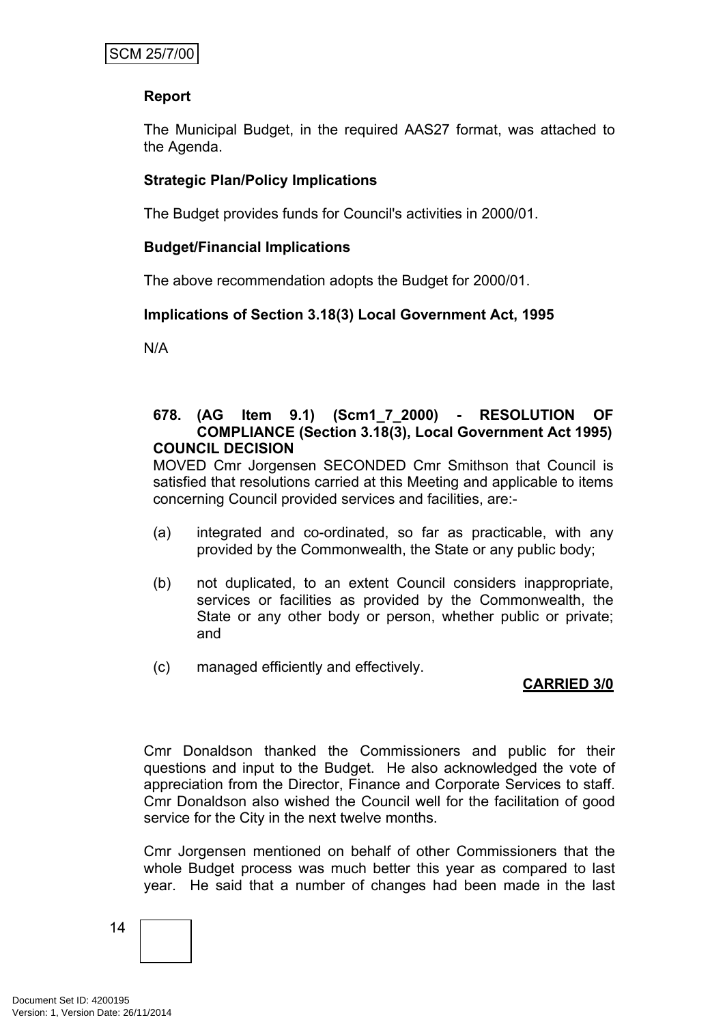## **Report**

The Municipal Budget, in the required AAS27 format, was attached to the Agenda.

## **Strategic Plan/Policy Implications**

The Budget provides funds for Council's activities in 2000/01.

## **Budget/Financial Implications**

The above recommendation adopts the Budget for 2000/01.

# **Implications of Section 3.18(3) Local Government Act, 1995**

N/A

## <span id="page-15-0"></span>**678. (AG Item 9.1) (Scm1\_7\_2000) - RESOLUTION OF COMPLIANCE (Section 3.18(3), Local Government Act 1995) COUNCIL DECISION**

MOVED Cmr Jorgensen SECONDED Cmr Smithson that Council is satisfied that resolutions carried at this Meeting and applicable to items concerning Council provided services and facilities, are:-

- (a) integrated and co-ordinated, so far as practicable, with any provided by the Commonwealth, the State or any public body;
- (b) not duplicated, to an extent Council considers inappropriate, services or facilities as provided by the Commonwealth, the State or any other body or person, whether public or private; and
- (c) managed efficiently and effectively.

# **CARRIED 3/0**

Cmr Donaldson thanked the Commissioners and public for their questions and input to the Budget. He also acknowledged the vote of appreciation from the Director, Finance and Corporate Services to staff. Cmr Donaldson also wished the Council well for the facilitation of good service for the City in the next twelve months.

Cmr Jorgensen mentioned on behalf of other Commissioners that the whole Budget process was much better this year as compared to last year. He said that a number of changes had been made in the last